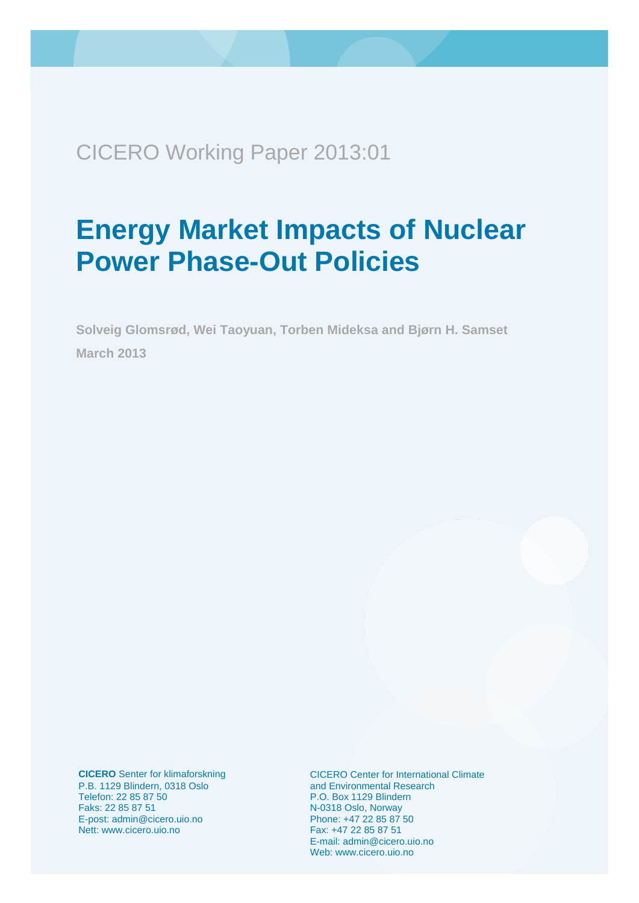<span id="page-0-0"></span>CICERO Working Paper 2013:01

# **Energy Market Impacts of Nuclear Power Phase-Out Policies**

**Solveig Glomsrød, Wei Taoyuan, Torben Mideksa and Bjørn H. Samset March 2013**

**CICERO** Senter for klimaforskning P.B. 1129 Blindern, 0318 Oslo Telefon: 22 85 87 50 Faks: 22 85 87 51 E-post: admin@cicero.uio.no Nett: www.cicero.uio.no

CICERO Center for International Climate and Environmental Research P.O. Box 1129 Blindern N-0318 Oslo, Norway Phone: +47 22 85 87 50 Fax: +47 22 85 87 51 E-mail: admin@cicero.uio.no Web: www.cicero.uio.no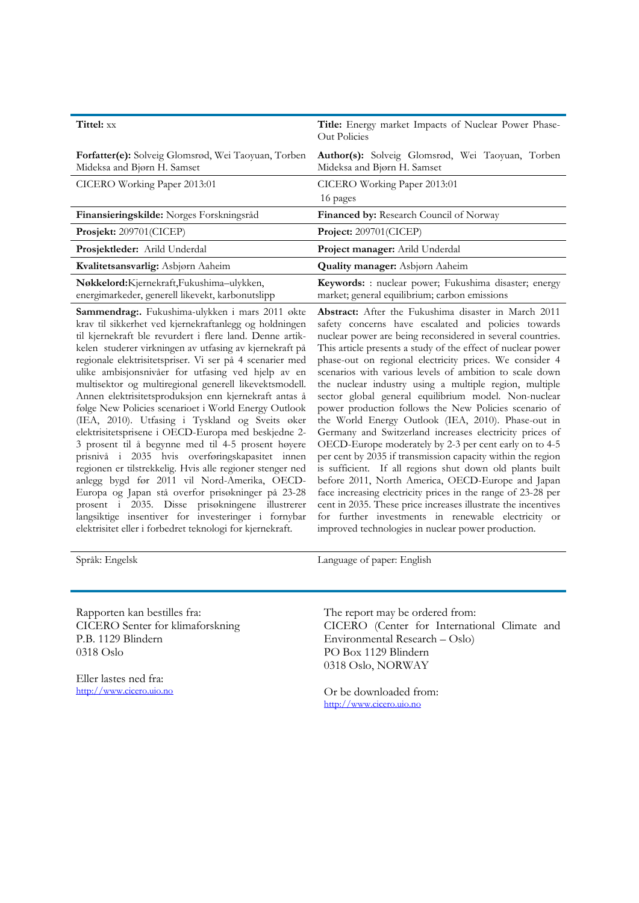| Tittel: xx                                                                                   | Title: Energy market Impacts of Nuclear Power Phase-<br>Out Policies                                   |
|----------------------------------------------------------------------------------------------|--------------------------------------------------------------------------------------------------------|
| <b>Forfatter(e):</b> Solveig Glomsrød, Wei Taoyuan, Torben<br>Mideksa and Bjørn H. Samset    | Author(s): Solveig Glomsrød, Wei Taoyuan, Torben<br>Mideksa and Bjørn H. Samset                        |
| CICERO Working Paper 2013:01                                                                 | CICERO Working Paper 2013:01                                                                           |
|                                                                                              | 16 pages                                                                                               |
| Finansieringskilde: Norges Forskningsråd                                                     | <b>Financed by:</b> Research Council of Norway                                                         |
| Prosjekt: 209701(CICEP)                                                                      | Project: $209701$ (CICEP)                                                                              |
| <b>Prosjektleder:</b> Arild Underdal                                                         | Project manager: Arild Underdal                                                                        |
| Kvalitetsansvarlig: Asbjørn Aaheim                                                           | <b>Quality manager:</b> Asbjørn Aaheim                                                                 |
| Nøkkelord:Kjernekraft,Fukushima-ulykken,<br>energimarkeder, generell likevekt, karbonutslipp | Keywords: : nuclear power; Fukushima disaster; energy<br>market; general equilibrium; carbon emissions |

**Sammendrag:.** Fukushima-ulykken i mars 2011 økte krav til sikkerhet ved kjernekraftanlegg og holdningen til kjernekraft ble revurdert i flere land. Denne artikkelen studerer virkningen av utfasing av kjernekraft på regionale elektrisitetspriser. Vi ser på 4 scenarier med ulike ambisjonsnivåer for utfasing ved hjelp av en multisektor og multiregional generell likevektsmodell. Annen elektrisitetsproduksjon enn kjernekraft antas å følge New Policies scenarioet i World Energy Outlook (IEA, 2010). Utfasing i Tyskland og Sveits øker elektrisitetsprisene i OECD-Europa med beskjedne 2- 3 prosent til å begynne med til 4-5 prosent høyere prisnivå i 2035 hvis overføringskapasitet innen regionen er tilstrekkelig. Hvis alle regioner stenger ned anlegg bygd før 2011 vil Nord-Amerika, OECD-Europa og Japan stå overfor prisøkninger på 23-28 prosent i 2035. Disse prisøkningene illustrerer langsiktige insentiver for investeringer i fornybar elektrisitet eller i forbedret teknologi for kjernekraft.

**Abstract:** After the Fukushima disaster in March 2011 safety concerns have escalated and policies towards nuclear power are being reconsidered in several countries. This article presents a study of the effect of nuclear power phase-out on regional electricity prices. We consider 4 scenarios with various levels of ambition to scale down the nuclear industry using a multiple region, multiple sector global general equilibrium model. Non-nuclear power production follows the New Policies scenario of the World Energy Outlook (IEA, 2010). Phase-out in Germany and Switzerland increases electricity prices of OECD-Europe moderately by 2-3 per cent early on to 4-5 per cent by 2035 if transmission capacity within the region is sufficient. If all regions shut down old plants built before 2011, North America, OECD-Europe and Japan face increasing electricity prices in the range of 23-28 per cent in 2035. These price increases illustrate the incentives for further investments in renewable electricity or improved technologies in nuclear power production.

Språk: Engelsk Language of paper: English

Rapporten kan bestilles fra: CICERO Senter for klimaforskning P.B. 1129 Blindern 0318 Oslo

Eller lastes ned fra: [http://www.cicero.uio.no](http://www.cicero.uio.no/) The report may be ordered from: CICERO (Center for International Climate and Environmental Research – Oslo) PO Box 1129 Blindern 0318 Oslo, NORWAY

Or be downloaded from: [http://www.cicero.uio.no](http://www.cicero.uio.no/)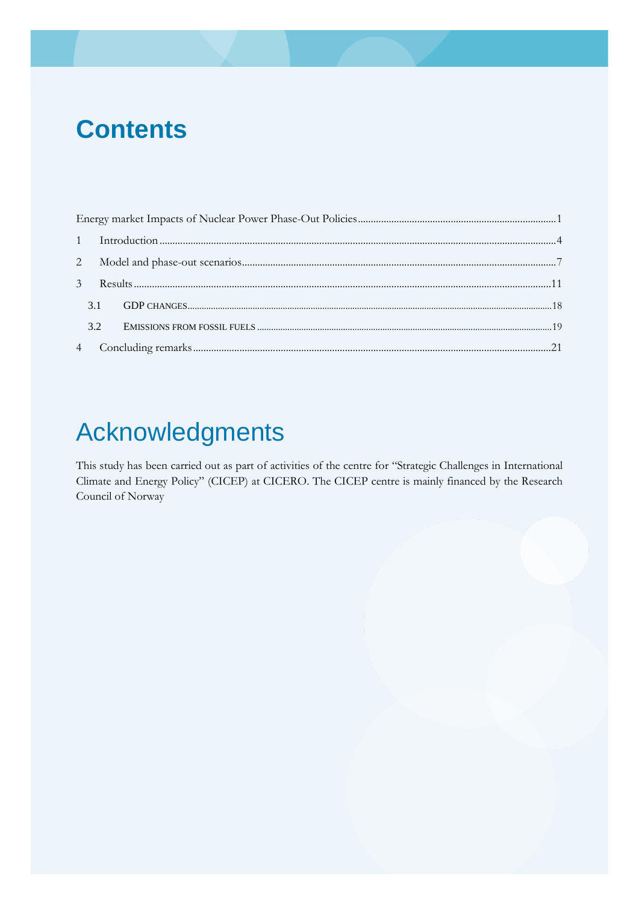# **Contents**

| 3.2 |  |
|-----|--|
|     |  |
|     |  |

# Acknowledgments

This study has been carried out as part of activities of the centre for "Strategic Challenges in International Climate and Energy Policy" (CICEP) at CICERO. The CICEP centre is mainly financed by the Research Council of Norway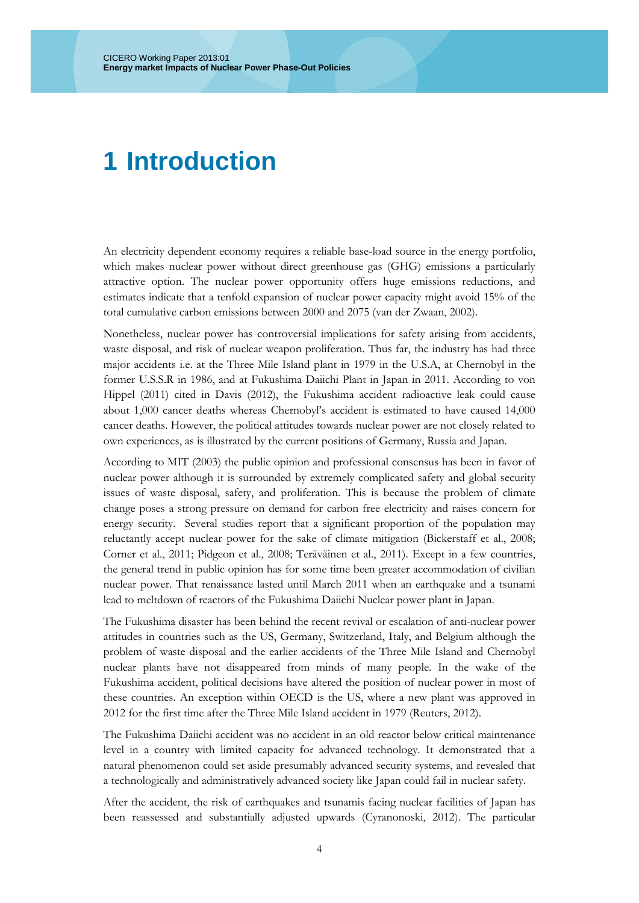### <span id="page-3-0"></span>**1 Introduction**

An electricity dependent economy requires a reliable base-load source in the energy portfolio, which makes nuclear power without direct greenhouse gas (GHG) emissions a particularly attractive option. The nuclear power opportunity offers huge emissions reductions, and estimates indicate that a tenfold expansion of nuclear power capacity might avoid 15% of the total cumulative carbon emissions between 2000 and 2075 [\(van der Zwaan, 2002\)](#page-29-0).

Nonetheless, nuclear power has controversial implications for safety arising from accidents, waste disposal, and risk of nuclear weapon proliferation. Thus far, the industry has had three major accidents i.e. at the Three Mile Island plant in 1979 in the U.S.A, at Chernobyl in the former U.S.S.R in 1986, and at Fukushima Daiichi Plant in Japan in 2011. According to [von](#page-29-1)  [Hippel \(2011\)](#page-29-1) cited in [Davis \(2012\)](#page-28-0), the Fukushima accident radioactive leak could cause about 1,000 cancer deaths whereas Chernobyl's accident is estimated to have caused 14,000 cancer deaths. However, the political attitudes towards nuclear power are not closely related to own experiences, as is illustrated by the current positions of Germany, Russia and Japan.

According to [MIT \(2003\)](#page-28-1) the public opinion and professional consensus has been in favor of nuclear power although it is surrounded by extremely complicated safety and global security issues of waste disposal, safety, and proliferation. This is because the problem of climate change poses a strong pressure on demand for carbon free electricity and raises concern for energy security. Several studies report that a significant proportion of the population may reluctantly accept nuclear power for the sake of climate mitigation [\(Bickerstaff et al., 2008;](#page-28-2)  [Corner et al., 2011;](#page-28-3) [Pidgeon et al., 2008;](#page-29-2) [Teräväinen et al., 2011\)](#page-29-3). Except in a few countries, the general trend in public opinion has for some time been greater accommodation of civilian nuclear power. That renaissance lasted until March 2011 when an earthquake and a tsunami lead to meltdown of reactors of the Fukushima Daiichi Nuclear power plant in Japan.

The Fukushima disaster has been behind the recent revival or escalation of anti-nuclear power attitudes in countries such as the US, Germany, Switzerland, Italy, and Belgium although the problem of waste disposal and the earlier accidents of the Three Mile Island and Chernobyl nuclear plants have not disappeared from minds of many people. In the wake of the Fukushima accident, political decisions have altered the position of nuclear power in most of these countries. An exception within OECD is the US, where a new plant was approved in 2012 for the first time after the Three Mile Island accident in 1979 [\(Reuters, 2012\)](#page-29-4).

The Fukushima Daiichi accident was no accident in an old reactor below critical maintenance level in a country with limited capacity for advanced technology. It demonstrated that a natural phenomenon could set aside presumably advanced security systems, and revealed that a technologically and administratively advanced society like Japan could fail in nuclear safety.

After the accident, the risk of earthquakes and tsunamis facing nuclear facilities of Japan has been reassessed and substantially adjusted upwards [\(Cyranonoski, 2012\)](#page-28-4). The particular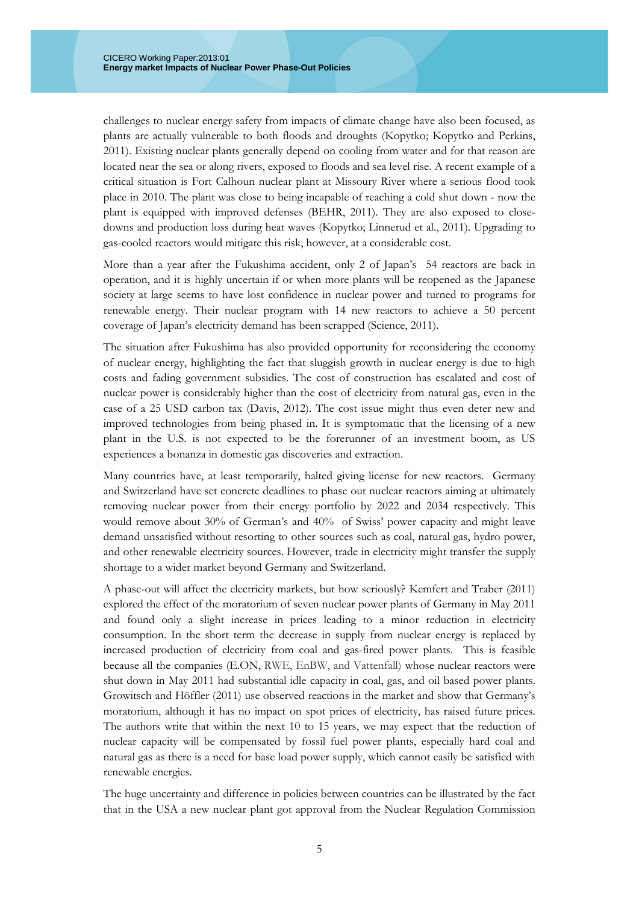challenges to nuclear energy safety from impacts of climate change have also been focused, as plants are actually vulnerable to both floods and droughts [\(Kopytko;](#page-28-5) [Kopytko and Perkins,](#page-28-6)  [2011\)](#page-28-6). Existing nuclear plants generally depend on cooling from water and for that reason are located near the sea or along rivers, exposed to floods and sea level rise. A recent example of a critical situation is Fort Calhoun nuclear plant at Missoury River where a serious flood took place in 2010. The plant was close to being incapable of reaching a cold shut down - now the plant is equipped with improved defenses [\(BEHR, 2011\)](#page-28-7). They are also exposed to closedowns and production loss during heat waves [\(Kopytko;](#page-28-5) [Linnerud et al., 2011\)](#page-28-8). Upgrading to gas-cooled reactors would mitigate this risk, however, at a considerable cost.

More than a year after the Fukushima accident, only 2 of Japan's 54 reactors are back in operation, and it is highly uncertain if or when more plants will be reopened as the Japanese society at large seems to have lost confidence in nuclear power and turned to programs for renewable energy. Their nuclear program with 14 new reactors to achieve a 50 percent coverage of Japan's electricity demand has been scrapped [\(Science, 2011\)](#page-29-5).

The situation after Fukushima has also provided opportunity for reconsidering the economy of nuclear energy, highlighting the fact that sluggish growth in nuclear energy is due to high costs and fading government subsidies. The cost of construction has escalated and cost of nuclear power is considerably higher than the cost of electricity from natural gas, even in the case of a 25 USD carbon tax [\(Davis, 2012\)](#page-28-0). The cost issue might thus even deter new and improved technologies from being phased in. It is symptomatic that the licensing of a new plant in the U.S. is not expected to be the forerunner of an investment boom, as US experiences a bonanza in domestic gas discoveries and extraction.

Many countries have, at least temporarily, halted giving license for new reactors. Germany and Switzerland have set concrete deadlines to phase out nuclear reactors aiming at ultimately removing nuclear power from their energy portfolio by 2022 and 2034 respectively. This would remove about 30% of German's and 40% of Swiss' power capacity and might leave demand unsatisfied without resorting to other sources such as coal, natural gas, hydro power, and other renewable electricity sources. However, trade in electricity might transfer the supply shortage to a wider market beyond Germany and Switzerland.

A phase-out will affect the electricity markets, but how seriously? [Kemfert and Traber \(2011\)](#page-28-9) explored the effect of the moratorium of seven nuclear power plants of Germany in May 2011 and found only a slight increase in prices leading to a minor reduction in electricity consumption. In the short term the decrease in supply from nuclear energy is replaced by increased production of electricity from coal and gas-fired power plants. This is feasible because all the companies (E.ON, RWE, EnBW, and Vattenfall) whose nuclear reactors were shut down in May 2011 had substantial idle capacity in coal, gas, and oil based power plants. [Growitsch and Höffler \(2011\)](#page-28-10) use observed reactions in the market and show that Germany's moratorium, although it has no impact on spot prices of electricity, has raised future prices. The authors write that within the next 10 to 15 years, we may expect that the reduction of nuclear capacity will be compensated by fossil fuel power plants, especially hard coal and natural gas as there is a need for base load power supply, which cannot easily be satisfied with renewable energies.

The huge uncertainty and difference in policies between countries can be illustrated by the fact that in the USA a new nuclear plant got approval from the Nuclear Regulation Commission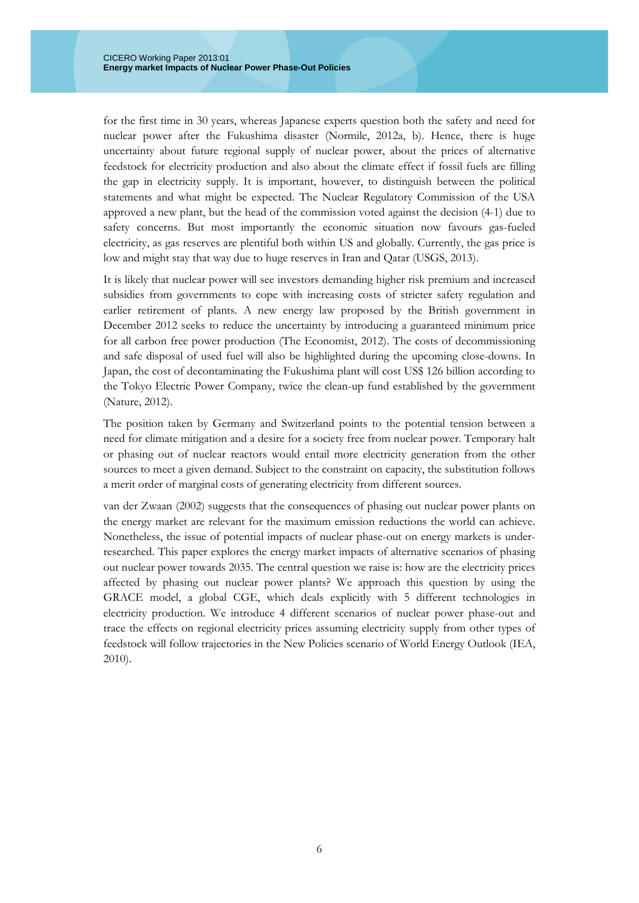for the first time in 30 years, whereas Japanese experts question both the safety and need for nuclear power after the Fukushima disaster [\(Normile, 2012a,](#page-28-11) [b\)](#page-28-12). Hence, there is huge uncertainty about future regional supply of nuclear power, about the prices of alternative feedstock for electricity production and also about the climate effect if fossil fuels are filling the gap in electricity supply. It is important, however, to distinguish between the political statements and what might be expected. The Nuclear Regulatory Commission of the USA approved a new plant, but the head of the commission voted against the decision (4-1) due to safety concerns. But most importantly the economic situation now favours gas-fueled electricity, as gas reserves are plentiful both within US and globally. Currently, the gas price is low and might stay that way due to huge reserves in Iran and Qatar [\(USGS, 2013\)](#page-29-6).

It is likely that nuclear power will see investors demanding higher risk premium and increased subsidies from governments to cope with increasing costs of stricter safety regulation and earlier retirement of plants. A new energy law proposed by the British government in December 2012 seeks to reduce the uncertainty by introducing a guaranteed minimum price for all carbon free power production [\(The Economist, 2012\)](#page-29-7). The costs of decommissioning and safe disposal of used fuel will also be highlighted during the upcoming close-downs. In Japan, the cost of decontaminating the Fukushima plant will cost US\$ 126 billion according to the Tokyo Electric Power Company, twice the clean-up fund established by the government [\(Nature, 2012\)](#page-28-13).

The position taken by Germany and Switzerland points to the potential tension between a need for climate mitigation and a desire for a society free from nuclear power. Temporary halt or phasing out of nuclear reactors would entail more electricity generation from the other sources to meet a given demand. Subject to the constraint on capacity, the substitution follows a merit order of marginal costs of generating electricity from different sources.

[van der Zwaan \(2002\)](#page-29-0) suggests that the consequences of phasing out nuclear power plants on the energy market are relevant for the maximum emission reductions the world can achieve. Nonetheless, the issue of potential impacts of nuclear phase-out on energy markets is underresearched. This paper explores the energy market impacts of alternative scenarios of phasing out nuclear power towards 2035. The central question we raise is: how are the electricity prices affected by phasing out nuclear power plants? We approach this question by using the GRACE model, a global CGE, which deals explicitly with 5 different technologies in electricity production. We introduce 4 different scenarios of nuclear power phase-out and trace the effects on regional electricity prices assuming electricity supply from other types of feedstock will follow trajectories in the New Policies scenario of World Energy Outlook [\(IEA,](#page-28-14)  [2010\)](#page-28-14).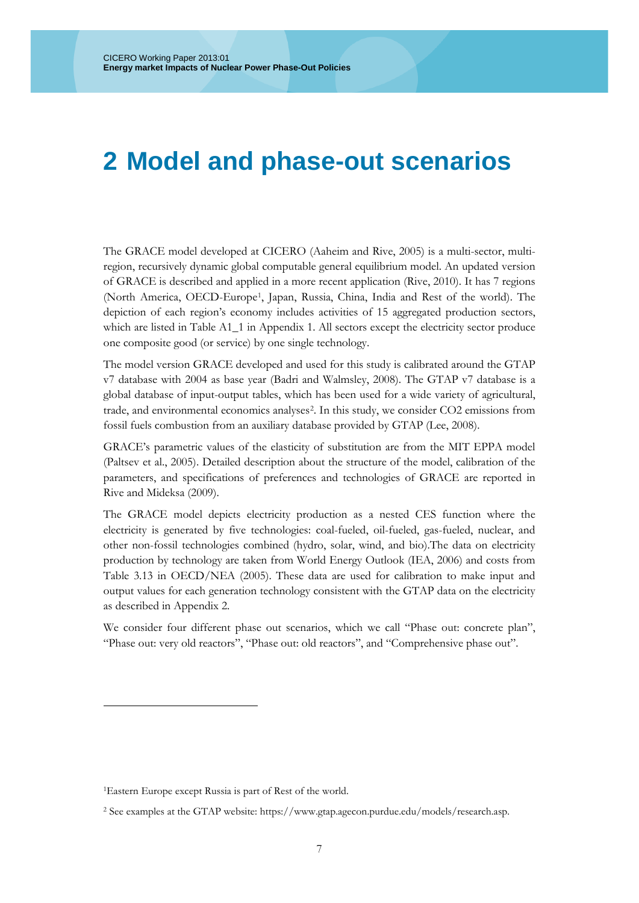### <span id="page-6-0"></span>**2 Model and phase-out scenarios**

The GRACE model developed at CICERO [\(Aaheim and Rive, 2005\)](#page-28-15) is a multi-sector, multiregion, recursively dynamic global computable general equilibrium model. An updated version of GRACE is described and applied in a more recent application [\(Rive, 2010\)](#page-29-8). It has 7 regions (North America, OECD-Europe[1,](#page-6-1) Japan, Russia, China, India and Rest of the world). The depiction of each region's economy includes activities of 15 aggregated production sectors, which are listed in Table A1<sup>1</sup> in Appendix 1. All sectors except the electricity sector produce one composite good (or service) by one single technology.

The model version GRACE developed and used for this study is calibrated around the GTAP v7 database with 2004 as base year [\(Badri and Walmsley, 2008\)](#page-28-16). The GTAP v7 database is a global database of input-output tables, which has been used for a wide variety of agricultural, trade, and environmental economics analyses[2](#page-6-2). In this study, we consider CO2 emissions from fossil fuels combustion from an auxiliary database provided by GTAP [\(Lee, 2008\)](#page-28-17).

GRACE's parametric values of the elasticity of substitution are from the MIT EPPA model [\(Paltsev et al., 2005\)](#page-29-9). Detailed description about the structure of the model, calibration of the parameters, and specifications of preferences and technologies of GRACE are reported in [Rive and Mideksa \(2009\)](#page-29-10).

The GRACE model depicts electricity production as a nested CES function where the electricity is generated by five technologies: coal-fueled, oil-fueled, gas-fueled, nuclear, and other non-fossil technologies combined (hydro, solar, wind, and bio).The data on electricity production by technology are taken from World Energy Outlook [\(IEA, 2006\)](#page-28-18) and costs from Table 3.13 in OECD/NEA [\(2005\)](#page-28-19). These data are used for calibration to make input and output values for each generation technology consistent with the GTAP data on the electricity as described in Appendix 2.

We consider four different phase out scenarios, which we call "Phase out: concrete plan", "Phase out: very old reactors", "Phase out: old reactors", and "Comprehensive phase out".

-

<span id="page-6-1"></span><sup>1</sup>Eastern Europe except Russia is part of Rest of the world.

<span id="page-6-2"></span><sup>2</sup> See examples at the GTAP website: https://www.gtap.agecon.purdue.edu/models/research.asp.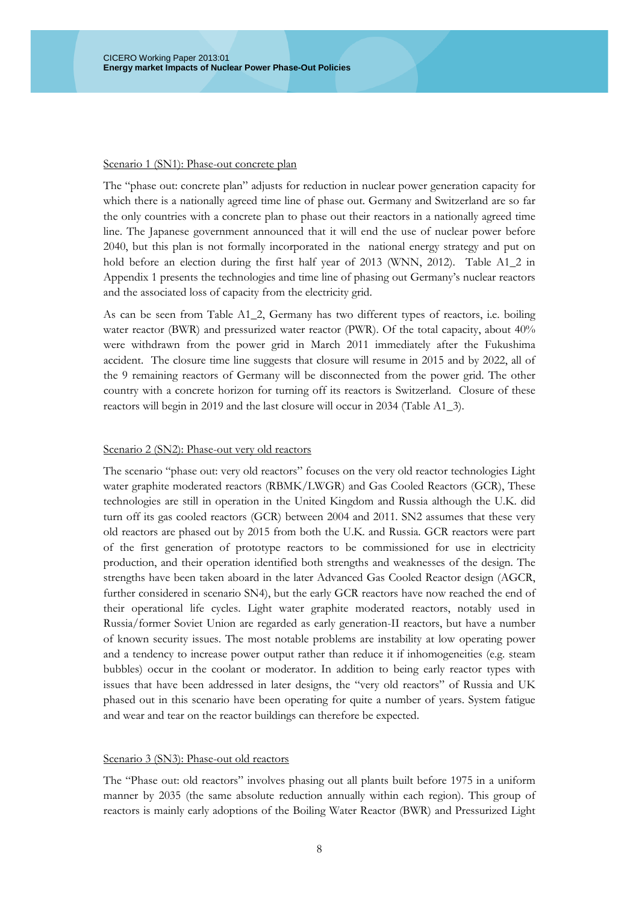#### Scenario 1 (SN1): Phase-out concrete plan

The "phase out: concrete plan" adjusts for reduction in nuclear power generation capacity for which there is a nationally agreed time line of phase out. Germany and Switzerland are so far the only countries with a concrete plan to phase out their reactors in a nationally agreed time line. The Japanese government announced that it will end the use of nuclear power before 2040, but this plan is not formally incorporated in the national energy strategy and put on hold before an election during the first half year of 2013 [\(WNN, 2012\)](#page-29-11). Table A1\_2 in Appendix 1 presents the technologies and time line of phasing out Germany's nuclear reactors and the associated loss of capacity from the electricity grid.

As can be seen from Table A1\_2, Germany has two different types of reactors, i.e. boiling water reactor (BWR) and pressurized water reactor (PWR). Of the total capacity, about 40% were withdrawn from the power grid in March 2011 immediately after the Fukushima accident. The closure time line suggests that closure will resume in 2015 and by 2022, all of the 9 remaining reactors of Germany will be disconnected from the power grid. The other country with a concrete horizon for turning off its reactors is Switzerland. Closure of these reactors will begin in 2019 and the last closure will occur in 2034 (Table A1\_3).

#### Scenario 2 (SN2): Phase-out very old reactors

The scenario "phase out: very old reactors" focuses on the very old reactor technologies Light water graphite moderated reactors (RBMK/LWGR) and Gas Cooled Reactors (GCR), These technologies are still in operation in the United Kingdom and Russia although the U.K. did turn off its gas cooled reactors (GCR) between 2004 and 2011. SN2 assumes that these very old reactors are phased out by 2015 from both the U.K. and Russia. GCR reactors were part of the first generation of prototype reactors to be commissioned for use in electricity production, and their operation identified both strengths and weaknesses of the design. The strengths have been taken aboard in the later Advanced Gas Cooled Reactor design (AGCR, further considered in scenario SN4), but the early GCR reactors have now reached the end of their operational life cycles. Light water graphite moderated reactors, notably used in Russia/former Soviet Union are regarded as early generation-II reactors, but have a number of known security issues. The most notable problems are instability at low operating power and a tendency to increase power output rather than reduce it if inhomogeneities (e.g. steam bubbles) occur in the coolant or moderator. In addition to being early reactor types with issues that have been addressed in later designs, the "very old reactors" of Russia and UK phased out in this scenario have been operating for quite a number of years. System fatigue and wear and tear on the reactor buildings can therefore be expected.

#### Scenario 3 (SN3): Phase-out old reactors

The "Phase out: old reactors" involves phasing out all plants built before 1975 in a uniform manner by 2035 (the same absolute reduction annually within each region). This group of reactors is mainly early adoptions of the Boiling Water Reactor (BWR) and Pressurized Light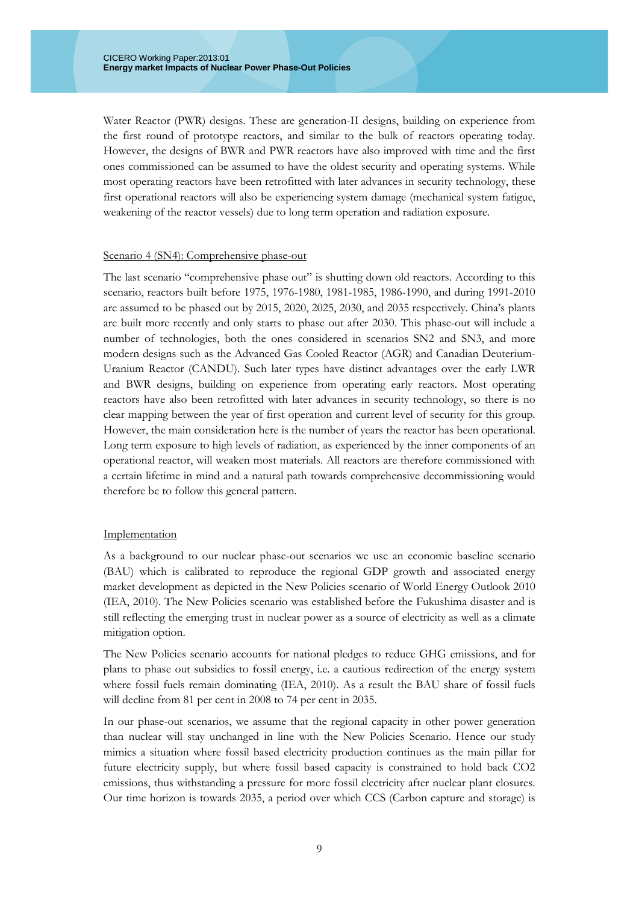Water Reactor (PWR) designs. These are generation-II designs, building on experience from the first round of prototype reactors, and similar to the bulk of reactors operating today. However, the designs of BWR and PWR reactors have also improved with time and the first ones commissioned can be assumed to have the oldest security and operating systems. While most operating reactors have been retrofitted with later advances in security technology, these first operational reactors will also be experiencing system damage (mechanical system fatigue, weakening of the reactor vessels) due to long term operation and radiation exposure.

#### Scenario 4 (SN4): Comprehensive phase-out

The last scenario "comprehensive phase out" is shutting down old reactors. According to this scenario, reactors built before 1975, 1976-1980, 1981-1985, 1986-1990, and during 1991-2010 are assumed to be phased out by 2015, 2020, 2025, 2030, and 2035 respectively. China's plants are built more recently and only starts to phase out after 2030. This phase-out will include a number of technologies, both the ones considered in scenarios SN2 and SN3, and more modern designs such as the Advanced Gas Cooled Reactor (AGR) and Canadian Deuterium-Uranium Reactor (CANDU). Such later types have distinct advantages over the early LWR and BWR designs, building on experience from operating early reactors. Most operating reactors have also been retrofitted with later advances in security technology, so there is no clear mapping between the year of first operation and current level of security for this group. However, the main consideration here is the number of years the reactor has been operational. Long term exposure to high levels of radiation, as experienced by the inner components of an operational reactor, will weaken most materials. All reactors are therefore commissioned with a certain lifetime in mind and a natural path towards comprehensive decommissioning would therefore be to follow this general pattern.

#### Implementation

As a background to our nuclear phase-out scenarios we use an economic baseline scenario (BAU) which is calibrated to reproduce the regional GDP growth and associated energy market development as depicted in the New Policies scenario of World Energy Outlook 2010 [\(IEA, 2010\)](#page-28-14). The New Policies scenario was established before the Fukushima disaster and is still reflecting the emerging trust in nuclear power as a source of electricity as well as a climate mitigation option.

The New Policies scenario accounts for national pledges to reduce GHG emissions, and for plans to phase out subsidies to fossil energy, i.e. a cautious redirection of the energy system where fossil fuels remain dominating [\(IEA, 2010\)](#page-28-14). As a result the BAU share of fossil fuels will decline from 81 per cent in 2008 to 74 per cent in 2035.

In our phase-out scenarios, we assume that the regional capacity in other power generation than nuclear will stay unchanged in line with the New Policies Scenario. Hence our study mimics a situation where fossil based electricity production continues as the main pillar for future electricity supply, but where fossil based capacity is constrained to hold back CO2 emissions, thus withstanding a pressure for more fossil electricity after nuclear plant closures. Our time horizon is towards 2035, a period over which CCS (Carbon capture and storage) is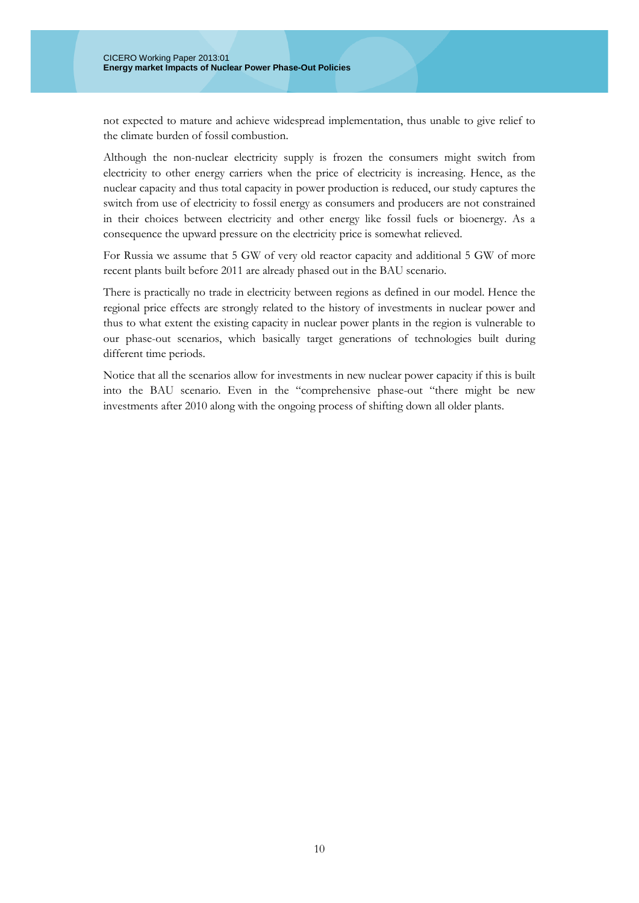not expected to mature and achieve widespread implementation, thus unable to give relief to the climate burden of fossil combustion.

Although the non-nuclear electricity supply is frozen the consumers might switch from electricity to other energy carriers when the price of electricity is increasing. Hence, as the nuclear capacity and thus total capacity in power production is reduced, our study captures the switch from use of electricity to fossil energy as consumers and producers are not constrained in their choices between electricity and other energy like fossil fuels or bioenergy. As a consequence the upward pressure on the electricity price is somewhat relieved.

For Russia we assume that 5 GW of very old reactor capacity and additional 5 GW of more recent plants built before 2011 are already phased out in the BAU scenario.

There is practically no trade in electricity between regions as defined in our model. Hence the regional price effects are strongly related to the history of investments in nuclear power and thus to what extent the existing capacity in nuclear power plants in the region is vulnerable to our phase-out scenarios, which basically target generations of technologies built during different time periods.

Notice that all the scenarios allow for investments in new nuclear power capacity if this is built into the BAU scenario. Even in the "comprehensive phase-out "there might be new investments after 2010 along with the ongoing process of shifting down all older plants.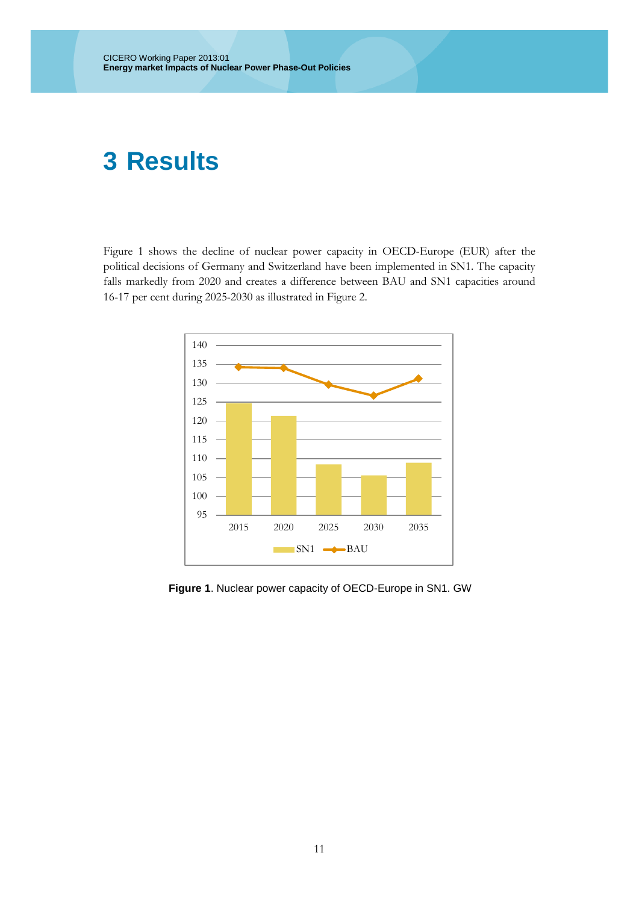### <span id="page-10-0"></span>**Results**

Figure 1 shows the decline of nuclear power capacity in OECD-Europe (EUR) after the political decisions of Germany and Switzerland have been implemented in SN1. The capacity falls markedly from 2020 and creates a difference between BAU and SN1 capacities around 16-17 per cent during 2025-2030 as illustrated in Figure 2.



 **Figure 1**. Nuclear power capacity of OECD-Europe in SN1. GW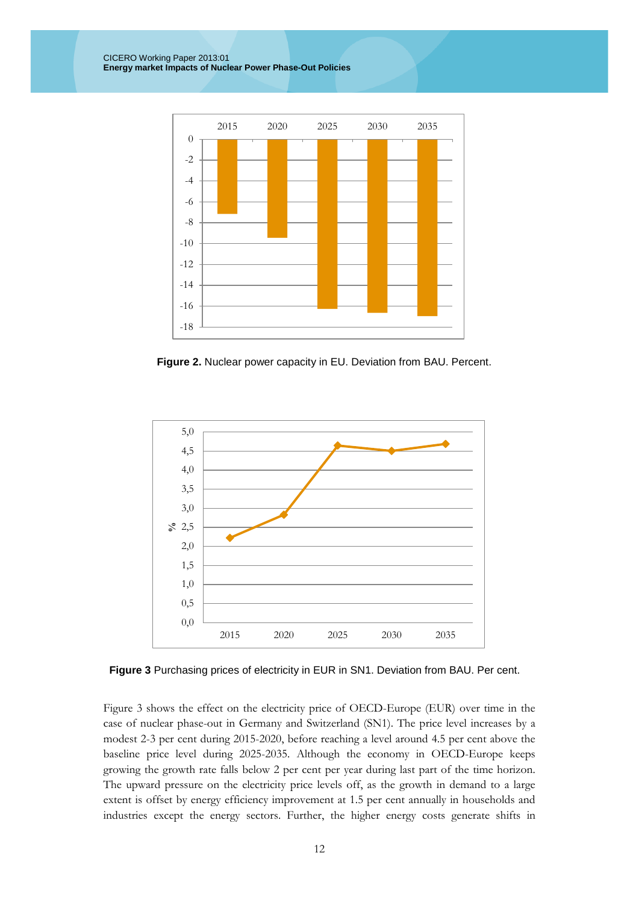CICERO Working Paper 2013:01 **Energy market Impacts of Nuclear Power Phase-Out Policies**



 **Figure 2.** Nuclear power capacity in EU. Deviation from BAU. Percent.



 **Figure 3** Purchasing prices of electricity in EUR in SN1. Deviation from BAU. Per cent.

Figure 3 shows the effect on the electricity price of OECD-Europe (EUR) over time in the case of nuclear phase-out in Germany and Switzerland (SN1). The price level increases by a modest 2-3 per cent during 2015-2020, before reaching a level around 4.5 per cent above the baseline price level during 2025-2035. Although the economy in OECD-Europe keeps growing the growth rate falls below 2 per cent per year during last part of the time horizon. The upward pressure on the electricity price levels off, as the growth in demand to a large extent is offset by energy efficiency improvement at 1.5 per cent annually in households and industries except the energy sectors. Further, the higher energy costs generate shifts in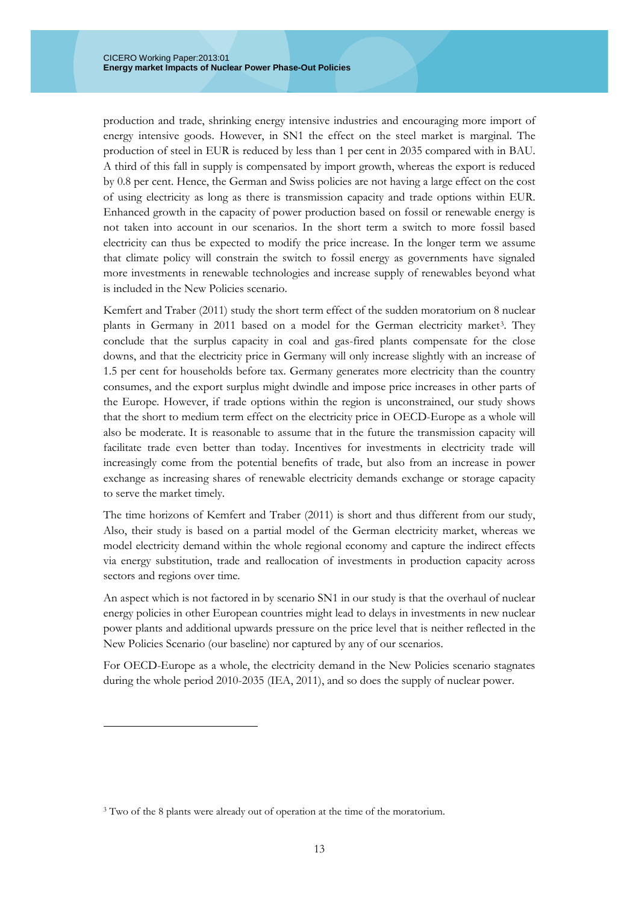production and trade, shrinking energy intensive industries and encouraging more import of energy intensive goods. However, in SN1 the effect on the steel market is marginal. The production of steel in EUR is reduced by less than 1 per cent in 2035 compared with in BAU. A third of this fall in supply is compensated by import growth, whereas the export is reduced by 0.8 per cent. Hence, the German and Swiss policies are not having a large effect on the cost of using electricity as long as there is transmission capacity and trade options within EUR. Enhanced growth in the capacity of power production based on fossil or renewable energy is not taken into account in our scenarios. In the short term a switch to more fossil based electricity can thus be expected to modify the price increase. In the longer term we assume that climate policy will constrain the switch to fossil energy as governments have signaled more investments in renewable technologies and increase supply of renewables beyond what is included in the New Policies scenario.

[Kemfert and Traber \(2011\)](#page-28-9) study the short term effect of the sudden moratorium on 8 nuclear plants in Germany in 2011 based on a model for the German electricity market<sup>3</sup>. They conclude that the surplus capacity in coal and gas-fired plants compensate for the close downs, and that the electricity price in Germany will only increase slightly with an increase of 1.5 per cent for households before tax. Germany generates more electricity than the country consumes, and the export surplus might dwindle and impose price increases in other parts of the Europe. However, if trade options within the region is unconstrained, our study shows that the short to medium term effect on the electricity price in OECD-Europe as a whole will also be moderate. It is reasonable to assume that in the future the transmission capacity will facilitate trade even better than today. Incentives for investments in electricity trade will increasingly come from the potential benefits of trade, but also from an increase in power exchange as increasing shares of renewable electricity demands exchange or storage capacity to serve the market timely.

The time horizons of [Kemfert and Traber \(2011\)](#page-28-9) is short and thus different from our study, Also, their study is based on a partial model of the German electricity market, whereas we model electricity demand within the whole regional economy and capture the indirect effects via energy substitution, trade and reallocation of investments in production capacity across sectors and regions over time.

An aspect which is not factored in by scenario SN1 in our study is that the overhaul of nuclear energy policies in other European countries might lead to delays in investments in new nuclear power plants and additional upwards pressure on the price level that is neither reflected in the New Policies Scenario (our baseline) nor captured by any of our scenarios.

For OECD-Europe as a whole, the electricity demand in the New Policies scenario stagnates during the whole period 2010-2035 [\(IEA, 2011\)](#page-28-20), and so does the supply of nuclear power.

<u>.</u>

<span id="page-12-0"></span><sup>&</sup>lt;sup>3</sup> Two of the 8 plants were already out of operation at the time of the moratorium.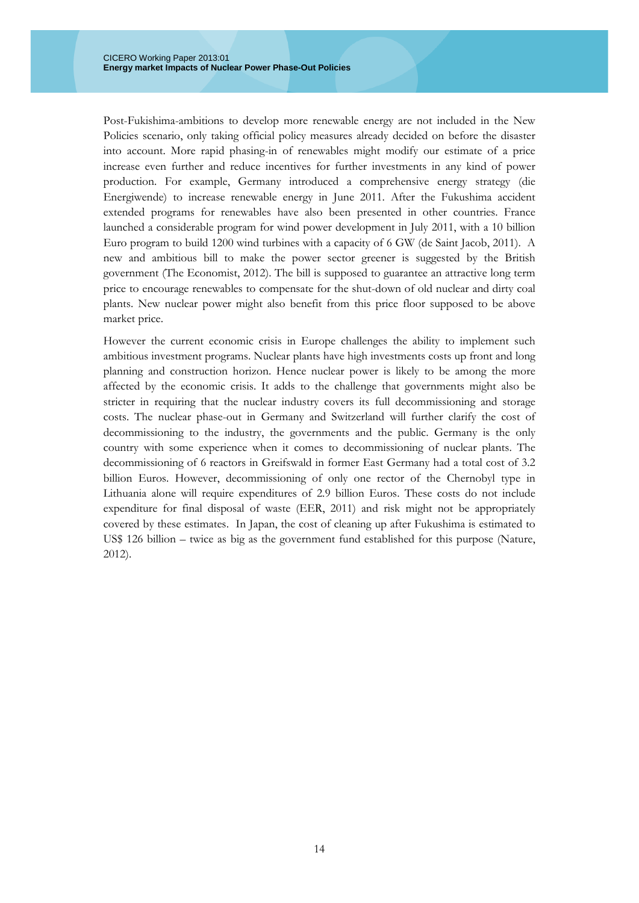Post-Fukishima-ambitions to develop more renewable energy are not included in the New Policies scenario, only taking official policy measures already decided on before the disaster into account. More rapid phasing-in of renewables might modify our estimate of a price increase even further and reduce incentives for further investments in any kind of power production. For example, Germany introduced a comprehensive energy strategy (die Energiwende) to increase renewable energy in June 2011. After the Fukushima accident extended programs for renewables have also been presented in other countries. France launched a considerable program for wind power development in July 2011, with a 10 billion Euro program to build 1200 wind turbines with a capacity of 6 GW [\(de Saint Jacob, 2011\)](#page-28-21). A new and ambitious bill to make the power sector greener is suggested by the British government [\(The Economist, 2012\)](#page-29-7). The bill is supposed to guarantee an attractive long term price to encourage renewables to compensate for the shut-down of old nuclear and dirty coal plants. New nuclear power might also benefit from this price floor supposed to be above market price.

However the current economic crisis in Europe challenges the ability to implement such ambitious investment programs. Nuclear plants have high investments costs up front and long planning and construction horizon. Hence nuclear power is likely to be among the more affected by the economic crisis. It adds to the challenge that governments might also be stricter in requiring that the nuclear industry covers its full decommissioning and storage costs. The nuclear phase-out in Germany and Switzerland will further clarify the cost of decommissioning to the industry, the governments and the public. Germany is the only country with some experience when it comes to decommissioning of nuclear plants. The decommissioning of 6 reactors in Greifswald in former East Germany had a total cost of 3.2 billion Euros. However, decommissioning of only one rector of the Chernobyl type in Lithuania alone will require expenditures of 2.9 billion Euros. These costs do not include expenditure for final disposal of waste [\(EER, 2011\)](#page-28-22) and risk might not be appropriately covered by these estimates. In Japan, the cost of cleaning up after Fukushima is estimated to US\$ 126 billion – twice as big as the government fund established for this purpose [\(Nature,](#page-28-13)  [2012\)](#page-28-13).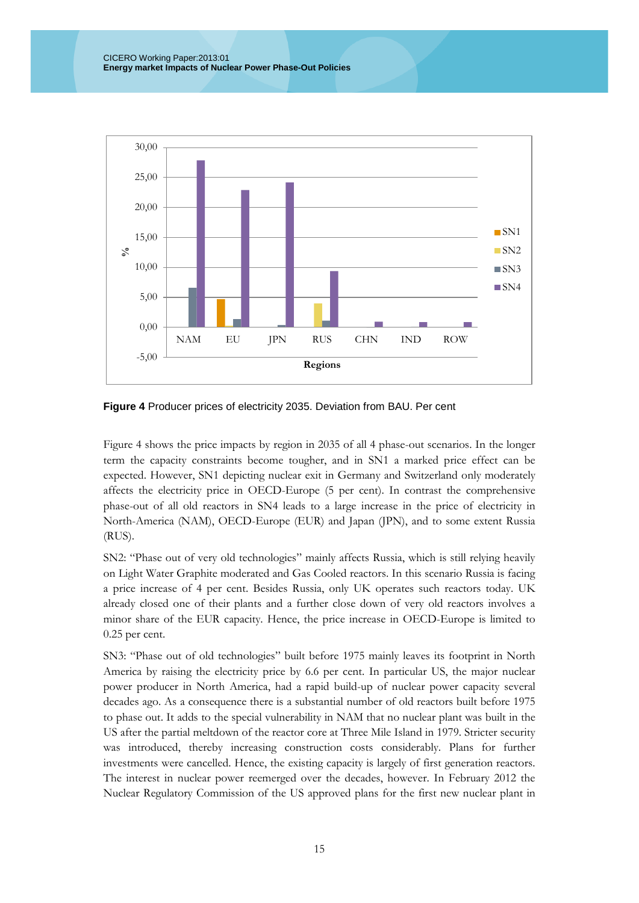

**Figure 4** Producer prices of electricity 2035. Deviation from BAU. Per cent

Figure 4 shows the price impacts by region in 2035 of all 4 phase-out scenarios. In the longer term the capacity constraints become tougher, and in SN1 a marked price effect can be expected. However, SN1 depicting nuclear exit in Germany and Switzerland only moderately affects the electricity price in OECD-Europe (5 per cent). In contrast the comprehensive phase-out of all old reactors in SN4 leads to a large increase in the price of electricity in North-America (NAM), OECD-Europe (EUR) and Japan (JPN), and to some extent Russia (RUS).

SN2: "Phase out of very old technologies" mainly affects Russia, which is still relying heavily on Light Water Graphite moderated and Gas Cooled reactors. In this scenario Russia is facing a price increase of 4 per cent. Besides Russia, only UK operates such reactors today. UK already closed one of their plants and a further close down of very old reactors involves a minor share of the EUR capacity. Hence, the price increase in OECD-Europe is limited to 0.25 per cent.

SN3: "Phase out of old technologies" built before 1975 mainly leaves its footprint in North America by raising the electricity price by 6.6 per cent. In particular US, the major nuclear power producer in North America, had a rapid build-up of nuclear power capacity several decades ago. As a consequence there is a substantial number of old reactors built before 1975 to phase out. It adds to the special vulnerability in NAM that no nuclear plant was built in the US after the partial meltdown of the reactor core at Three Mile Island in 1979. Stricter security was introduced, thereby increasing construction costs considerably. Plans for further investments were cancelled. Hence, the existing capacity is largely of first generation reactors. The interest in nuclear power reemerged over the decades, however. In February 2012 the Nuclear Regulatory Commission of the US approved plans for the first new nuclear plant in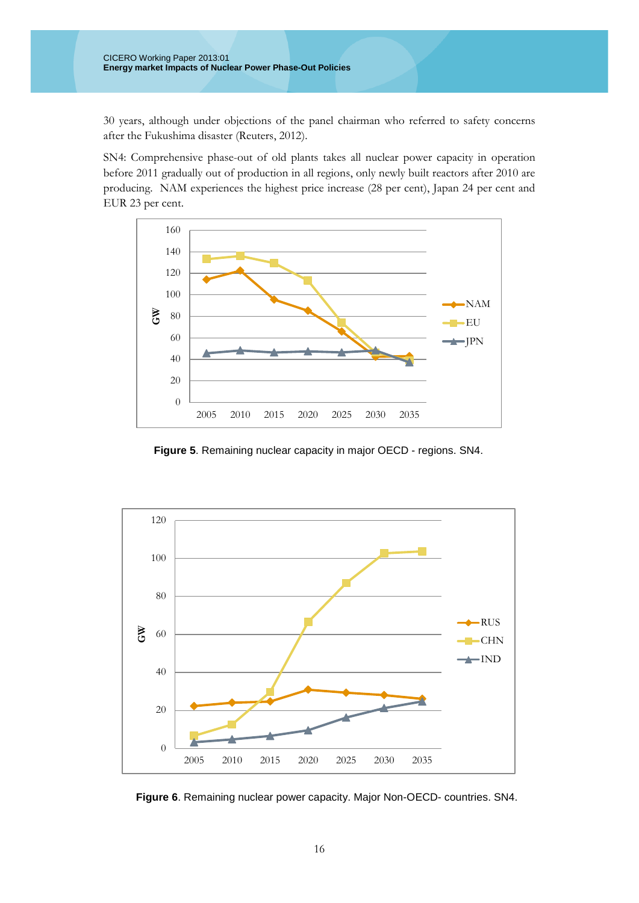30 years, although under objections of the panel chairman who referred to safety concerns after the Fukushima disaster [\(Reuters, 2012\)](#page-29-4).

SN4: Comprehensive phase-out of old plants takes all nuclear power capacity in operation before 2011 gradually out of production in all regions, only newly built reactors after 2010 are producing. NAM experiences the highest price increase (28 per cent), Japan 24 per cent and EUR 23 per cent.



 **Figure 5**. Remaining nuclear capacity in major OECD - regions. SN4.



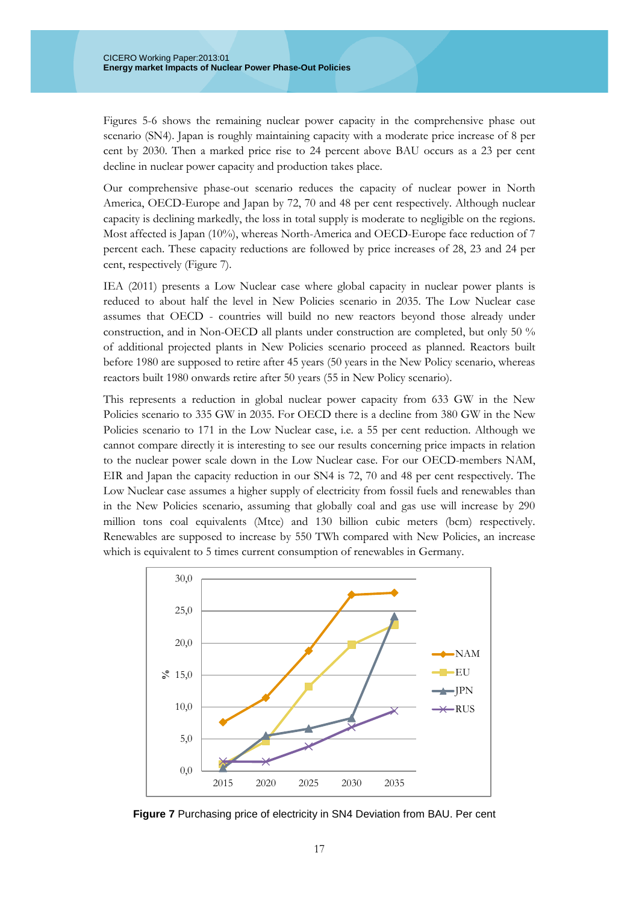Figures 5-6 shows the remaining nuclear power capacity in the comprehensive phase out scenario (SN4). Japan is roughly maintaining capacity with a moderate price increase of 8 per cent by 2030. Then a marked price rise to 24 percent above BAU occurs as a 23 per cent decline in nuclear power capacity and production takes place.

Our comprehensive phase-out scenario reduces the capacity of nuclear power in North America, OECD-Europe and Japan by 72, 70 and 48 per cent respectively. Although nuclear capacity is declining markedly, the loss in total supply is moderate to negligible on the regions. Most affected is Japan (10%), whereas North-America and OECD-Europe face reduction of 7 percent each. These capacity reductions are followed by price increases of 28, 23 and 24 per cent, respectively (Figure 7).

[IEA \(2011\)](#page-28-20) presents a Low Nuclear case where global capacity in nuclear power plants is reduced to about half the level in New Policies scenario in 2035. The Low Nuclear case assumes that OECD - countries will build no new reactors beyond those already under construction, and in Non-OECD all plants under construction are completed, but only 50 % of additional projected plants in New Policies scenario proceed as planned. Reactors built before 1980 are supposed to retire after 45 years (50 years in the New Policy scenario, whereas reactors built 1980 onwards retire after 50 years (55 in New Policy scenario).

This represents a reduction in global nuclear power capacity from 633 GW in the New Policies scenario to 335 GW in 2035. For OECD there is a decline from 380 GW in the New Policies scenario to 171 in the Low Nuclear case, i.e. a 55 per cent reduction. Although we cannot compare directly it is interesting to see our results concerning price impacts in relation to the nuclear power scale down in the Low Nuclear case. For our OECD-members NAM, EIR and Japan the capacity reduction in our SN4 is 72, 70 and 48 per cent respectively. The Low Nuclear case assumes a higher supply of electricity from fossil fuels and renewables than in the New Policies scenario, assuming that globally coal and gas use will increase by 290 million tons coal equivalents (Mtce) and 130 billion cubic meters (bcm) respectively. Renewables are supposed to increase by 550 TWh compared with New Policies, an increase which is equivalent to 5 times current consumption of renewables in Germany.



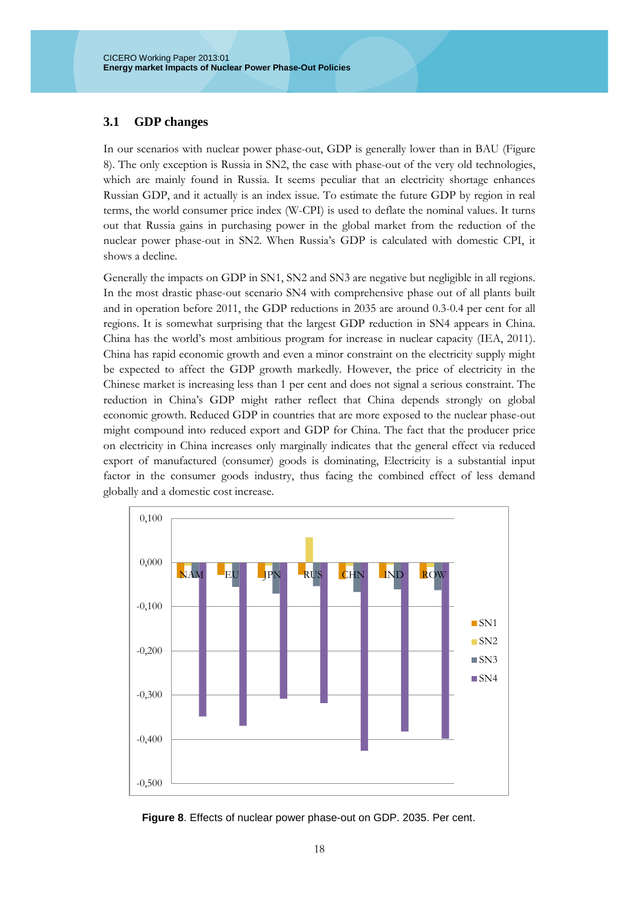#### <span id="page-17-0"></span>**3.1 GDP changes**

In our scenarios with nuclear power phase-out, GDP is generally lower than in BAU (Figure 8). The only exception is Russia in SN2, the case with phase-out of the very old technologies, which are mainly found in Russia. It seems peculiar that an electricity shortage enhances Russian GDP, and it actually is an index issue. To estimate the future GDP by region in real terms, the world consumer price index (W-CPI) is used to deflate the nominal values. It turns out that Russia gains in purchasing power in the global market from the reduction of the nuclear power phase-out in SN2. When Russia's GDP is calculated with domestic CPI, it shows a decline.

Generally the impacts on GDP in SN1, SN2 and SN3 are negative but negligible in all regions. In the most drastic phase-out scenario SN4 with comprehensive phase out of all plants built and in operation before 2011, the GDP reductions in 2035 are around 0.3-0.4 per cent for all regions. It is somewhat surprising that the largest GDP reduction in SN4 appears in China. China has the world's most ambitious program for increase in nuclear capacity [\(IEA, 2011\)](#page-28-20). China has rapid economic growth and even a minor constraint on the electricity supply might be expected to affect the GDP growth markedly. However, the price of electricity in the Chinese market is increasing less than 1 per cent and does not signal a serious constraint. The reduction in China's GDP might rather reflect that China depends strongly on global economic growth. Reduced GDP in countries that are more exposed to the nuclear phase-out might compound into reduced export and GDP for China. The fact that the producer price on electricity in China increases only marginally indicates that the general effect via reduced export of manufactured (consumer) goods is dominating, Electricity is a substantial input factor in the consumer goods industry, thus facing the combined effect of less demand globally and a domestic cost increase.



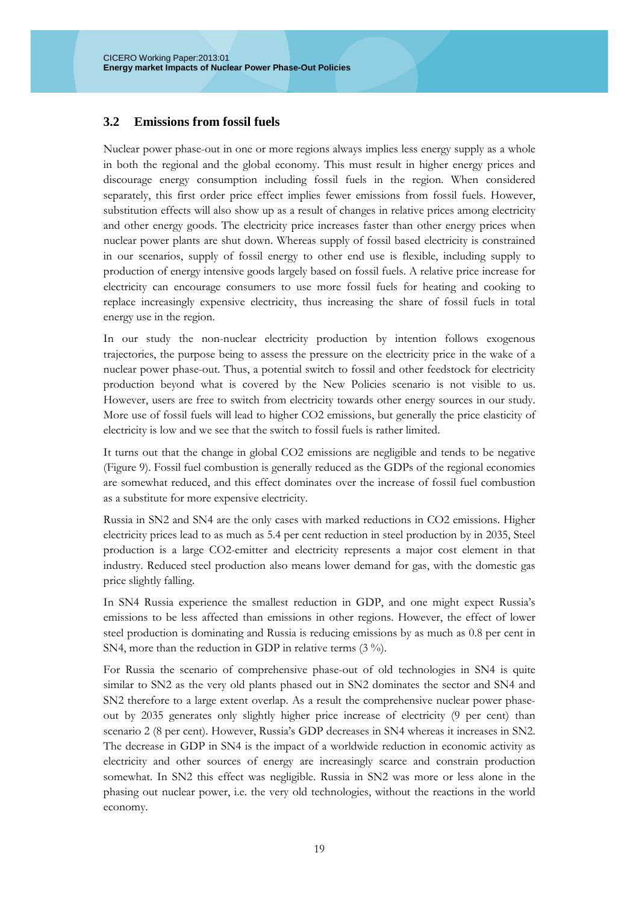#### <span id="page-18-0"></span>**3.2 Emissions from fossil fuels**

Nuclear power phase-out in one or more regions always implies less energy supply as a whole in both the regional and the global economy. This must result in higher energy prices and discourage energy consumption including fossil fuels in the region. When considered separately, this first order price effect implies fewer emissions from fossil fuels. However, substitution effects will also show up as a result of changes in relative prices among electricity and other energy goods. The electricity price increases faster than other energy prices when nuclear power plants are shut down. Whereas supply of fossil based electricity is constrained in our scenarios, supply of fossil energy to other end use is flexible, including supply to production of energy intensive goods largely based on fossil fuels. A relative price increase for electricity can encourage consumers to use more fossil fuels for heating and cooking to replace increasingly expensive electricity, thus increasing the share of fossil fuels in total energy use in the region.

In our study the non-nuclear electricity production by intention follows exogenous trajectories, the purpose being to assess the pressure on the electricity price in the wake of a nuclear power phase-out. Thus, a potential switch to fossil and other feedstock for electricity production beyond what is covered by the New Policies scenario is not visible to us. However, users are free to switch from electricity towards other energy sources in our study. More use of fossil fuels will lead to higher CO2 emissions, but generally the price elasticity of electricity is low and we see that the switch to fossil fuels is rather limited.

It turns out that the change in global CO2 emissions are negligible and tends to be negative (Figure 9). Fossil fuel combustion is generally reduced as the GDPs of the regional economies are somewhat reduced, and this effect dominates over the increase of fossil fuel combustion as a substitute for more expensive electricity.

Russia in SN2 and SN4 are the only cases with marked reductions in CO2 emissions. Higher electricity prices lead to as much as 5.4 per cent reduction in steel production by in 2035, Steel production is a large CO2-emitter and electricity represents a major cost element in that industry. Reduced steel production also means lower demand for gas, with the domestic gas price slightly falling.

In SN4 Russia experience the smallest reduction in GDP, and one might expect Russia's emissions to be less affected than emissions in other regions. However, the effect of lower steel production is dominating and Russia is reducing emissions by as much as 0.8 per cent in SN4, more than the reduction in GDP in relative terms (3 %).

For Russia the scenario of comprehensive phase-out of old technologies in SN4 is quite similar to SN2 as the very old plants phased out in SN2 dominates the sector and SN4 and SN2 therefore to a large extent overlap. As a result the comprehensive nuclear power phaseout by 2035 generates only slightly higher price increase of electricity (9 per cent) than scenario 2 (8 per cent). However, Russia's GDP decreases in SN4 whereas it increases in SN2. The decrease in GDP in SN4 is the impact of a worldwide reduction in economic activity as electricity and other sources of energy are increasingly scarce and constrain production somewhat. In SN2 this effect was negligible. Russia in SN2 was more or less alone in the phasing out nuclear power, i.e. the very old technologies, without the reactions in the world economy.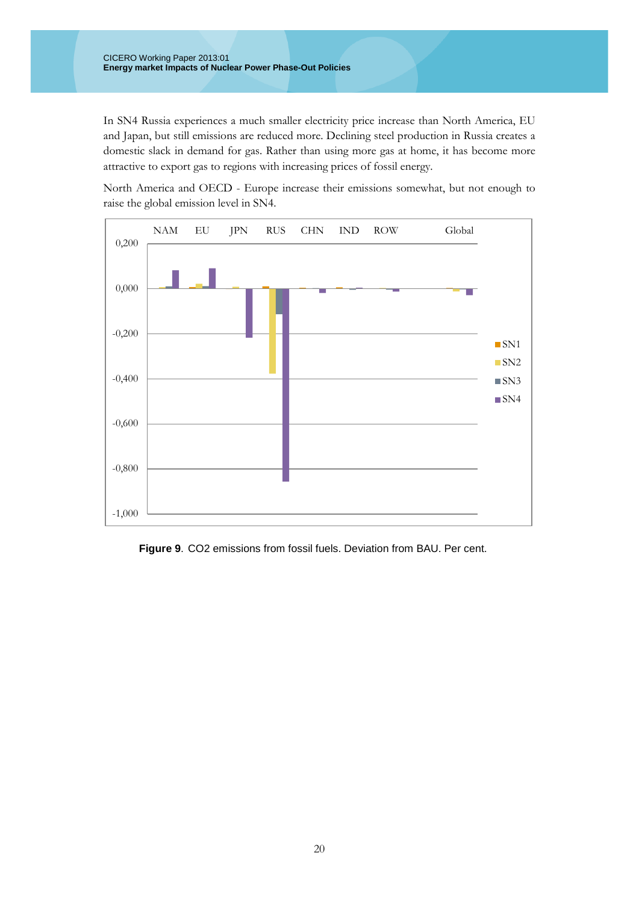In SN4 Russia experiences a much smaller electricity price increase than North America, EU and Japan, but still emissions are reduced more. Declining steel production in Russia creates a domestic slack in demand for gas. Rather than using more gas at home, it has become more attractive to export gas to regions with increasing prices of fossil energy.

North America and OECD - Europe increase their emissions somewhat, but not enough to raise the global emission level in SN4.



 **Figure 9**. CO2 emissions from fossil fuels. Deviation from BAU. Per cent.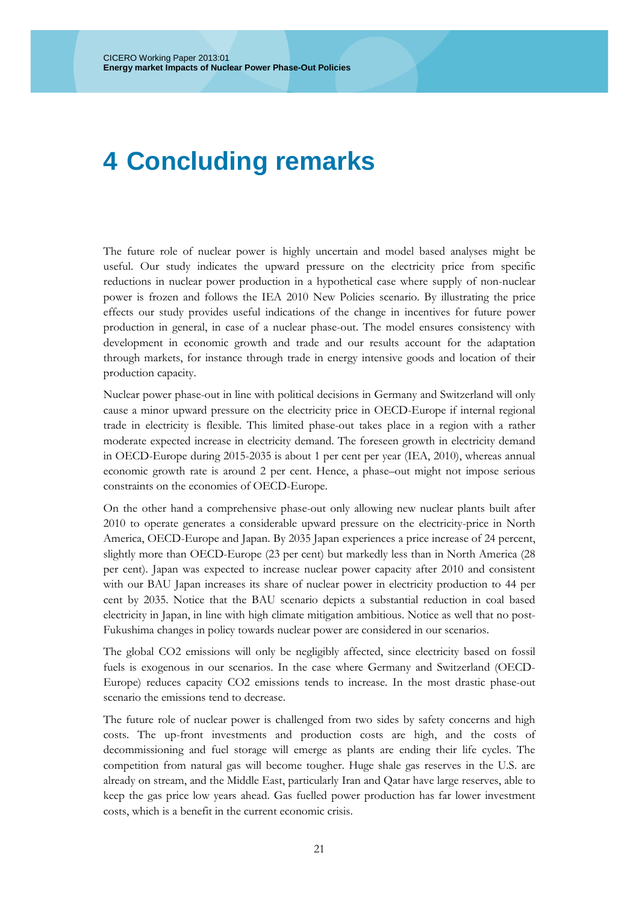## <span id="page-20-0"></span>**4 Concluding remarks**

The future role of nuclear power is highly uncertain and model based analyses might be useful. Our study indicates the upward pressure on the electricity price from specific reductions in nuclear power production in a hypothetical case where supply of non-nuclear power is frozen and follows the IEA 2010 New Policies scenario. By illustrating the price effects our study provides useful indications of the change in incentives for future power production in general, in case of a nuclear phase-out. The model ensures consistency with development in economic growth and trade and our results account for the adaptation through markets, for instance through trade in energy intensive goods and location of their production capacity.

Nuclear power phase-out in line with political decisions in Germany and Switzerland will only cause a minor upward pressure on the electricity price in OECD-Europe if internal regional trade in electricity is flexible. This limited phase-out takes place in a region with a rather moderate expected increase in electricity demand. The foreseen growth in electricity demand in OECD-Europe during 2015-2035 is about 1 per cent per year (IEA, 2010), whereas annual economic growth rate is around 2 per cent. Hence, a phase–out might not impose serious constraints on the economies of OECD-Europe.

On the other hand a comprehensive phase-out only allowing new nuclear plants built after 2010 to operate generates a considerable upward pressure on the electricity-price in North America, OECD-Europe and Japan. By 2035 Japan experiences a price increase of 24 percent, slightly more than OECD-Europe (23 per cent) but markedly less than in North America (28 per cent). Japan was expected to increase nuclear power capacity after 2010 and consistent with our BAU Japan increases its share of nuclear power in electricity production to 44 per cent by 2035. Notice that the BAU scenario depicts a substantial reduction in coal based electricity in Japan, in line with high climate mitigation ambitious. Notice as well that no post-Fukushima changes in policy towards nuclear power are considered in our scenarios.

The global CO2 emissions will only be negligibly affected, since electricity based on fossil fuels is exogenous in our scenarios. In the case where Germany and Switzerland (OECD-Europe) reduces capacity CO2 emissions tends to increase. In the most drastic phase-out scenario the emissions tend to decrease.

The future role of nuclear power is challenged from two sides by safety concerns and high costs. The up-front investments and production costs are high, and the costs of decommissioning and fuel storage will emerge as plants are ending their life cycles. The competition from natural gas will become tougher. Huge shale gas reserves in the U.S. are already on stream, and the Middle East, particularly Iran and Qatar have large reserves, able to keep the gas price low years ahead. Gas fuelled power production has far lower investment costs, which is a benefit in the current economic crisis.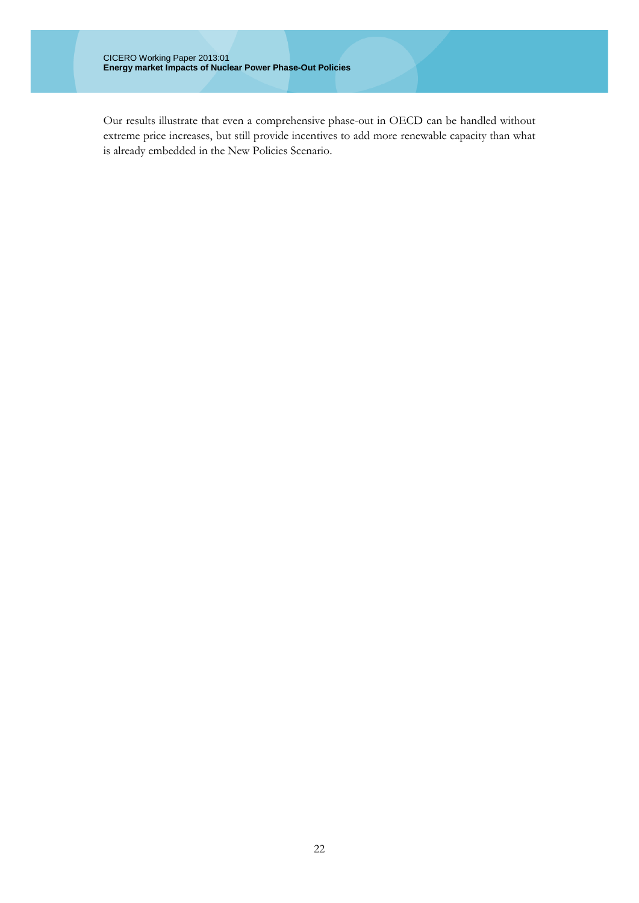Our results illustrate that even a comprehensive phase-out in OECD can be handled without extreme price increases, but still provide incentives to add more renewable capacity than what is already embedded in the New Policies Scenario.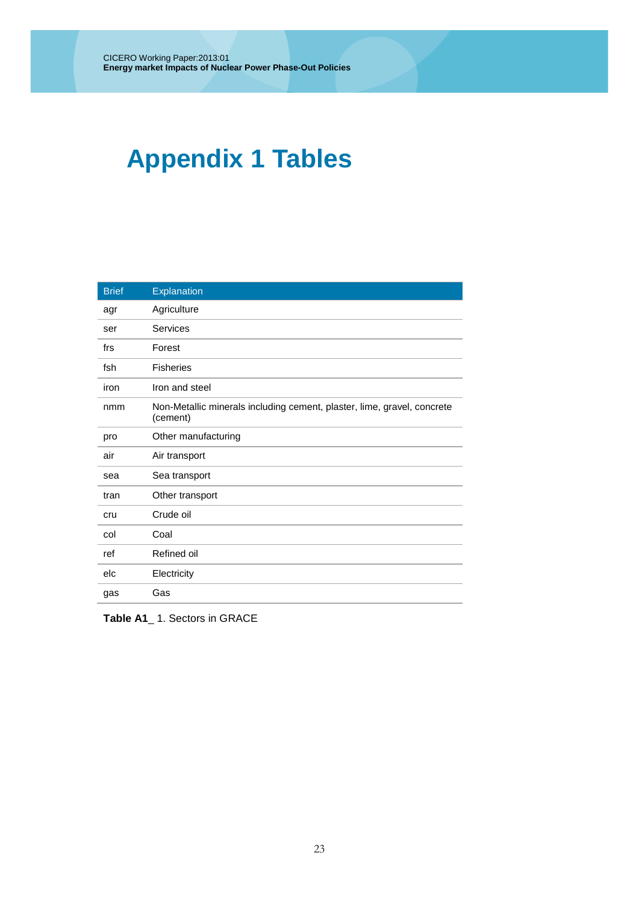# **Appendix 1 Tables**

| <b>Brief</b> | Explanation                                                                         |
|--------------|-------------------------------------------------------------------------------------|
| agr          | Agriculture                                                                         |
| ser          | Services                                                                            |
| frs          | Forest                                                                              |
| fsh          | <b>Fisheries</b>                                                                    |
| iron         | Iron and steel                                                                      |
| nmm          | Non-Metallic minerals including cement, plaster, lime, gravel, concrete<br>(cement) |
| pro          | Other manufacturing                                                                 |
| air          | Air transport                                                                       |
| sea          | Sea transport                                                                       |
| tran         | Other transport                                                                     |
| cru          | Crude oil                                                                           |
| col          | Coal                                                                                |
| ref          | Refined oil                                                                         |
| elc          | Electricity                                                                         |
| gas          | Gas                                                                                 |

**Table A1**\_ 1. Sectors in GRACE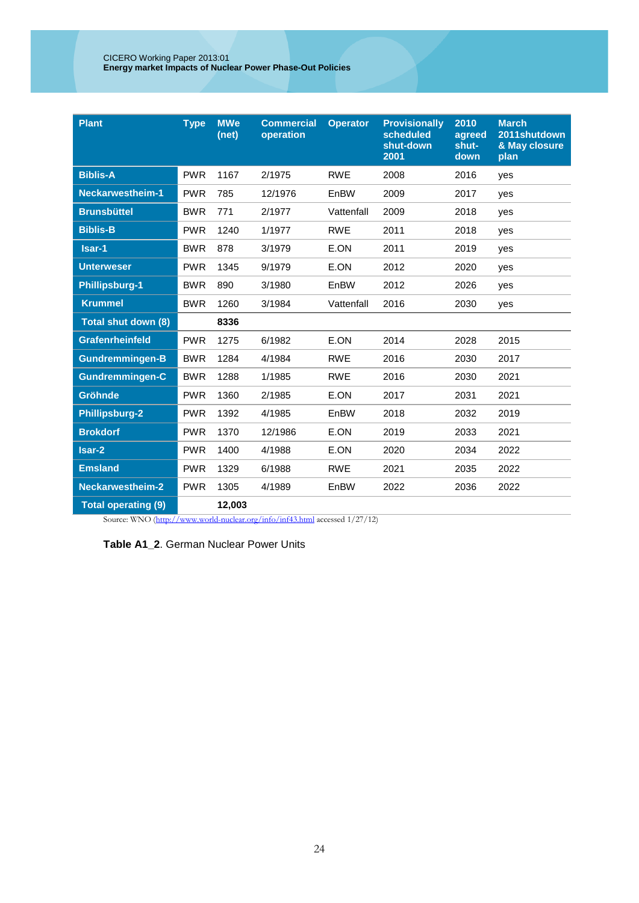| <b>Plant</b>               | <b>Type</b> | <b>MWe</b><br>(net) | <b>Commercial</b><br><b>Operator</b><br>operation |            | <b>Provisionally</b><br>scheduled<br>shut-down<br>2001 | 2010<br>agreed<br>shut-<br>down | <b>March</b><br>2011shutdown<br>& May closure<br>plan |
|----------------------------|-------------|---------------------|---------------------------------------------------|------------|--------------------------------------------------------|---------------------------------|-------------------------------------------------------|
| <b>Biblis-A</b>            | <b>PWR</b>  | 1167                | 2/1975                                            | <b>RWE</b> | 2008                                                   | 2016                            | ves                                                   |
| <b>Neckarwestheim-1</b>    | <b>PWR</b>  | 785                 | 12/1976                                           | EnBW       | 2009                                                   | 2017                            | yes                                                   |
| <b>Brunsbüttel</b>         | <b>BWR</b>  | 771                 | 2/1977                                            | Vattenfall | 2009                                                   | 2018                            | yes                                                   |
| <b>Biblis-B</b>            | <b>PWR</b>  | 1240                | 1/1977                                            | <b>RWE</b> | 2011                                                   | 2018                            | yes                                                   |
| Isar-1                     | <b>BWR</b>  | 878                 | 3/1979                                            | E.ON       | 2011                                                   | 2019                            | yes                                                   |
| <b>Unterweser</b>          | <b>PWR</b>  | 1345<br>9/1979      |                                                   | E.ON       | 2012                                                   | 2020                            | yes                                                   |
| <b>Phillipsburg-1</b>      | <b>BWR</b>  | 890                 | 3/1980                                            | EnBW       | 2012                                                   | 2026                            | yes                                                   |
| <b>Krummel</b>             | <b>BWR</b>  | 1260                | 3/1984                                            | Vattenfall | 2016                                                   | 2030                            | yes                                                   |
| Total shut down (8)        |             | 8336                |                                                   |            |                                                        |                                 |                                                       |
| <b>Grafenrheinfeld</b>     | <b>PWR</b>  | 1275                | 6/1982                                            | E.ON       | 2014                                                   | 2028                            | 2015                                                  |
| <b>Gundremmingen-B</b>     | <b>BWR</b>  | 1284                | 4/1984                                            | <b>RWE</b> | 2016                                                   | 2030                            | 2017                                                  |
| <b>Gundremmingen-C</b>     | <b>BWR</b>  | 1288                | 1/1985                                            | <b>RWE</b> | 2016                                                   | 2030                            | 2021                                                  |
| Gröhnde                    | <b>PWR</b>  | 1360                | 2/1985                                            | E.ON       | 2017                                                   | 2031                            | 2021                                                  |
| <b>Phillipsburg-2</b>      | <b>PWR</b>  | 1392                | 4/1985                                            | EnBW       | 2018                                                   | 2032                            | 2019                                                  |
| <b>Brokdorf</b>            | <b>PWR</b>  | 1370                | 12/1986                                           | E.ON       | 2019                                                   | 2033                            | 2021                                                  |
| Isar-2                     | <b>PWR</b>  | 1400                | 4/1988                                            | E.ON       | 2020                                                   | 2034                            | 2022                                                  |
| <b>Emsland</b>             | <b>PWR</b>  | 1329                | 6/1988                                            | <b>RWE</b> | 2021                                                   | 2035                            | 2022                                                  |
| <b>Neckarwestheim-2</b>    | <b>PWR</b>  | 1305                | 4/1989                                            | EnBW       | 2022                                                   | 2036                            | 2022                                                  |
| <b>Total operating (9)</b> |             | 12,003              |                                                   |            |                                                        |                                 |                                                       |

Source: WNO [\(http://www.world-nuclear.org/info/inf43.html](http://www.world-nuclear.org/info/inf43.html) accessed 1/27/12)

| <b>Table A1 2. German Nuclear Power Units</b> |  |  |  |  |
|-----------------------------------------------|--|--|--|--|
|-----------------------------------------------|--|--|--|--|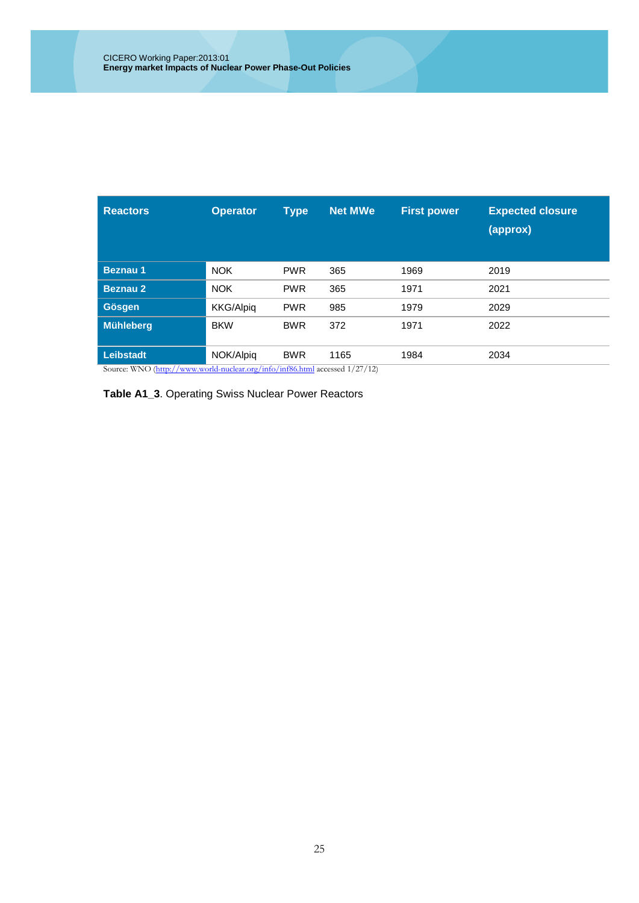| <b>Reactors</b>                                                             | <b>Operator</b>  | <b>Type</b> | <b>Net MWe</b> | <b>First power</b> | <b>Expected closure</b><br>(approx) |  |
|-----------------------------------------------------------------------------|------------------|-------------|----------------|--------------------|-------------------------------------|--|
| <b>Beznau 1</b>                                                             | <b>NOK</b>       | <b>PWR</b>  | 365            | 1969               | 2019                                |  |
| <b>Beznau 2</b>                                                             | <b>NOK</b>       | <b>PWR</b>  | 365            | 1971               | 2021                                |  |
| <b>Gösgen</b>                                                               | <b>KKG/Alpig</b> | <b>PWR</b>  | 985            | 1979               | 2029                                |  |
| Mühleberg                                                                   | <b>BKW</b>       | <b>BWR</b>  | 372            | 1971               | 2022                                |  |
| <b>Leibstadt</b>                                                            | NOK/Alpig        | <b>BWR</b>  | 1165           | 1984               | 2034                                |  |
| Source: WNO (http://www.world-nuclear.org/info/inf86.html accessed 1/27/12) |                  |             |                |                    |                                     |  |

**Table A1\_3**. Operating Swiss Nuclear Power Reactors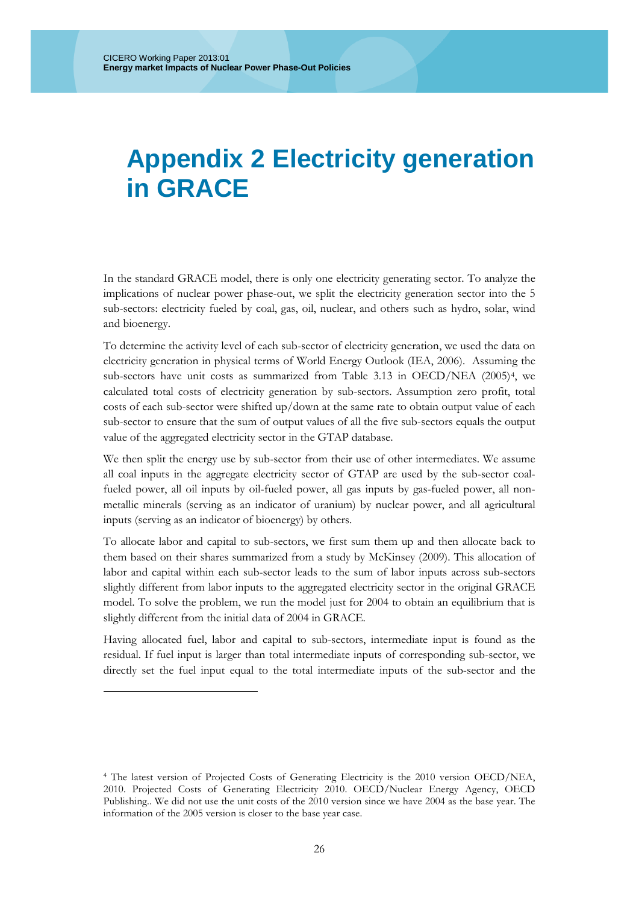### **Appendix 2 Electricity generation in GRACE**

In the standard GRACE model, there is only one electricity generating sector. To analyze the implications of nuclear power phase-out, we split the electricity generation sector into the 5 sub-sectors: electricity fueled by coal, gas, oil, nuclear, and others such as hydro, solar, wind and bioenergy.

To determine the activity level of each sub-sector of electricity generation, we used the data on electricity generation in physical terms of World Energy Outlook [\(IEA, 2006\)](#page-28-18). Assuming the sub-sectors have unit costs as summarized from Table 3.13 in OECD/NEA [\(2005\)](#page-28-19)[4,](#page-25-0) we calculated total costs of electricity generation by sub-sectors. Assumption zero profit, total costs of each sub-sector were shifted up/down at the same rate to obtain output value of each sub-sector to ensure that the sum of output values of all the five sub-sectors equals the output value of the aggregated electricity sector in the GTAP database.

We then split the energy use by sub-sector from their use of other intermediates. We assume all coal inputs in the aggregate electricity sector of GTAP are used by the sub-sector coalfueled power, all oil inputs by oil-fueled power, all gas inputs by gas-fueled power, all nonmetallic minerals (serving as an indicator of uranium) by nuclear power, and all agricultural inputs (serving as an indicator of bioenergy) by others.

To allocate labor and capital to sub-sectors, we first sum them up and then allocate back to them based on their shares summarized from a study by [McKinsey \(2009\)](#page-28-23). This allocation of labor and capital within each sub-sector leads to the sum of labor inputs across sub-sectors slightly different from labor inputs to the aggregated electricity sector in the original GRACE model. To solve the problem, we run the model just for 2004 to obtain an equilibrium that is slightly different from the initial data of 2004 in GRACE.

Having allocated fuel, labor and capital to sub-sectors, intermediate input is found as the residual. If fuel input is larger than total intermediate inputs of corresponding sub-sector, we directly set the fuel input equal to the total intermediate inputs of the sub-sector and the

-

<span id="page-25-0"></span><sup>4</sup> The latest version of Projected Costs of Generating Electricity is the 2010 version OECD/NEA, 2010. Projected Costs of Generating Electricity 2010. OECD/Nuclear Energy Agency, OECD Publishing.. We did not use the unit costs of the 2010 version since we have 2004 as the base year. The information of the 2005 version is closer to the base year case.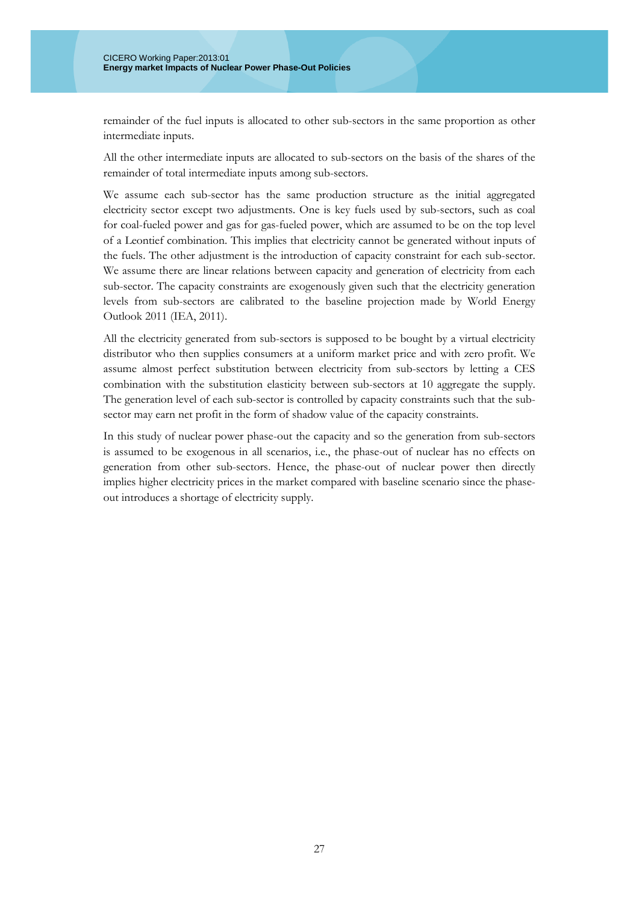remainder of the fuel inputs is allocated to other sub-sectors in the same proportion as other intermediate inputs.

All the other intermediate inputs are allocated to sub-sectors on the basis of the shares of the remainder of total intermediate inputs among sub-sectors.

We assume each sub-sector has the same production structure as the initial aggregated electricity sector except two adjustments. One is key fuels used by sub-sectors, such as coal for coal-fueled power and gas for gas-fueled power, which are assumed to be on the top level of a Leontief combination. This implies that electricity cannot be generated without inputs of the fuels. The other adjustment is the introduction of capacity constraint for each sub-sector. We assume there are linear relations between capacity and generation of electricity from each sub-sector. The capacity constraints are exogenously given such that the electricity generation levels from sub-sectors are calibrated to the baseline projection made by World Energy Outlook 2011 [\(IEA, 2011\)](#page-28-20).

All the electricity generated from sub-sectors is supposed to be bought by a virtual electricity distributor who then supplies consumers at a uniform market price and with zero profit. We assume almost perfect substitution between electricity from sub-sectors by letting a CES combination with the substitution elasticity between sub-sectors at 10 aggregate the supply. The generation level of each sub-sector is controlled by capacity constraints such that the subsector may earn net profit in the form of shadow value of the capacity constraints.

In this study of nuclear power phase-out the capacity and so the generation from sub-sectors is assumed to be exogenous in all scenarios, i.e., the phase-out of nuclear has no effects on generation from other sub-sectors. Hence, the phase-out of nuclear power then directly implies higher electricity prices in the market compared with baseline scenario since the phaseout introduces a shortage of electricity supply.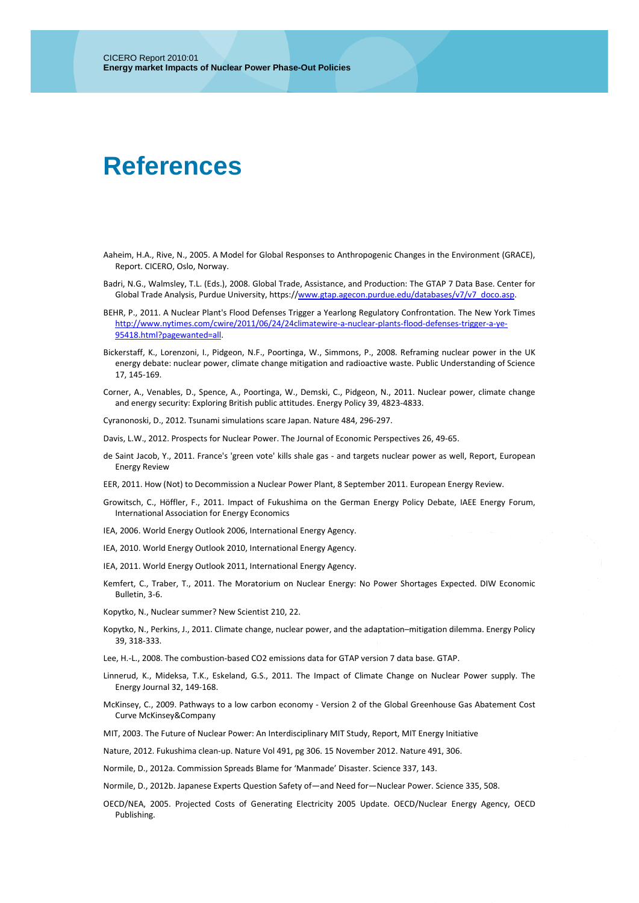### **References**

- <span id="page-28-15"></span>Aaheim, H.A., Rive, N., 2005. A Model for Global Responses to Anthropogenic Changes in the Environment (GRACE), Report. CICERO, Oslo, Norway.
- <span id="page-28-16"></span>Badri, N.G., Walmsley, T.L. (Eds.), 2008. Global Trade, Assistance, and Production: The GTAP 7 Data Base. Center for Global Trade Analysis, Purdue University, https:/[/www.gtap.agecon.purdue.edu/databases/v7/v7\\_doco.asp.](http://www.gtap.agecon.purdue.edu/databases/v7/v7_doco.asp)
- <span id="page-28-7"></span>BEHR, P., 2011. A Nuclear Plant's Flood Defenses Trigger a Yearlong Regulatory Confrontation. The New York Times [http://www.nytimes.com/cwire/2011/06/24/24climatewire-a-nuclear-plants-flood-defenses-trigger-a-ye-](http://www.nytimes.com/cwire/2011/06/24/24climatewire-a-nuclear-plants-flood-defenses-trigger-a-ye-95418.html?pagewanted=all)[95418.html?pagewanted=all.](http://www.nytimes.com/cwire/2011/06/24/24climatewire-a-nuclear-plants-flood-defenses-trigger-a-ye-95418.html?pagewanted=all)
- <span id="page-28-2"></span>Bickerstaff, K., Lorenzoni, I., Pidgeon, N.F., Poortinga, W., Simmons, P., 2008. Reframing nuclear power in the UK energy debate: nuclear power, climate change mitigation and radioactive waste. Public Understanding of Science 17, 145-169.
- <span id="page-28-3"></span>Corner, A., Venables, D., Spence, A., Poortinga, W., Demski, C., Pidgeon, N., 2011. Nuclear power, climate change and energy security: Exploring British public attitudes. Energy Policy 39, 4823-4833.

<span id="page-28-4"></span>Cyranonoski, D., 2012. Tsunami simulations scare Japan. Nature 484, 296-297.

<span id="page-28-0"></span>Davis, L.W., 2012. Prospects for Nuclear Power. The Journal of Economic Perspectives 26, 49-65.

<span id="page-28-21"></span>de Saint Jacob, Y., 2011. France's 'green vote' kills shale gas - and targets nuclear power as well, Report, European Energy Review

<span id="page-28-22"></span>EER, 2011. How (Not) to Decommission a Nuclear Power Plant, 8 September 2011. European Energy Review.

- <span id="page-28-10"></span>Growitsch, C., Höffler, F., 2011. Impact of Fukushima on the German Energy Policy Debate, IAEE Energy Forum, International Association for Energy Economics
- <span id="page-28-18"></span>IEA, 2006. World Energy Outlook 2006, International Energy Agency.
- <span id="page-28-14"></span>IEA, 2010. World Energy Outlook 2010, International Energy Agency.
- <span id="page-28-20"></span>IEA, 2011. World Energy Outlook 2011, International Energy Agency.
- <span id="page-28-9"></span>Kemfert, C., Traber, T., 2011. The Moratorium on Nuclear Energy: No Power Shortages Expected. DIW Economic Bulletin, 3-6.
- <span id="page-28-5"></span>Kopytko, N., Nuclear summer? New Scientist 210, 22.
- <span id="page-28-6"></span>Kopytko, N., Perkins, J., 2011. Climate change, nuclear power, and the adaptation–mitigation dilemma. Energy Policy 39, 318-333.

<span id="page-28-17"></span>Lee, H.-L., 2008. The combustion-based CO2 emissions data for GTAP version 7 data base. GTAP.

- <span id="page-28-8"></span>Linnerud, K., Mideksa, T.K., Eskeland, G.S., 2011. The Impact of Climate Change on Nuclear Power supply. The Energy Journal 32, 149-168.
- <span id="page-28-23"></span>McKinsey, C., 2009. Pathways to a low carbon economy - Version 2 of the Global Greenhouse Gas Abatement Cost Curve McKinsey&Company

<span id="page-28-1"></span>MIT, 2003. The Future of Nuclear Power: An Interdisciplinary MIT Study, Report, MIT Energy Initiative

<span id="page-28-13"></span>Nature, 2012. Fukushima clean-up. Nature Vol 491, pg 306. 15 November 2012. Nature 491, 306.

<span id="page-28-11"></span>Normile, D., 2012a. Commission Spreads Blame for 'Manmade' Disaster. Science 337, 143.

<span id="page-28-12"></span>Normile, D., 2012b. Japanese Experts Question Safety of—and Need for—Nuclear Power. Science 335, 508.

<span id="page-28-19"></span>OECD/NEA, 2005. Projected Costs of Generating Electricity 2005 Update. OECD/Nuclear Energy Agency, OECD Publishing.